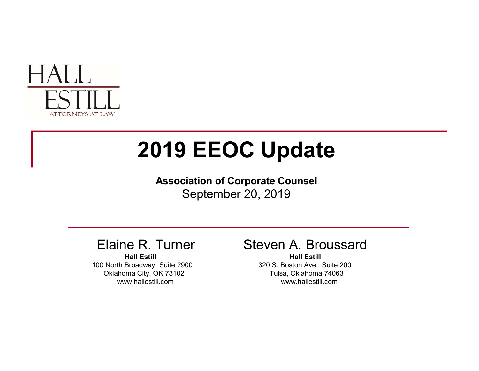

# 2019 EEOC Update **2019 EEOC Update**<br>
Association of Corporate Counsel<br>
September 20, 2019<br>
ine R. Turner Steven A. Broussard<br>
Hall Estill<br>
In Broadway, Suite 2900<br>
In Broadway, Suite 2900<br>
Non Acc, Suite 200<br>
Non Acc, Suite 200<br>
Non Acc,

Association of Corporate Counsel September 20, 2019

100 North Broadway, Suite 2900 320 S. Boston Ave., Suite 200 Oklahoma City, OK 73102 Tulsa, Oklahoma 74063

#### Elaine R. Turner Steven A. Broussard

Hall Estill Hall Estill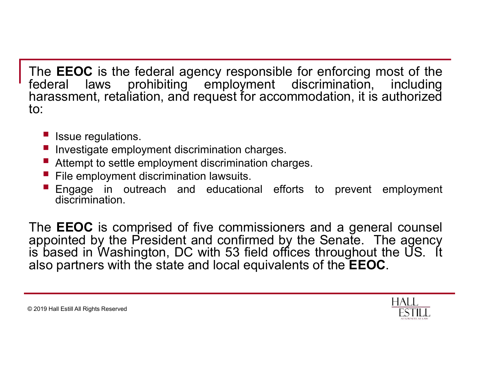The EEOC is the federal agency responsible for enforcing most of the<br>federal laws prohibiting employment discrimination, including<br>harassment, retaliation, and request for accommodation, it is authorized<br>to: The **EEOC** is the federal agency responsible for enforcing most of the federal laws prohibiting employment discrimination, including harassment, retaliation, and request for accommodation, it is authorized to: The **EEOC** is the federal agency responsible for enforcing most of the federal laws prohibiting employment discrimination, including harassment, retaliation, and request for accommodation, it is authorized to: to: **EEOC** is the federal agency responsibuted<br>
Issue regulation, and request for according<br>
Investigate employment discrimination charges<br>
Investigate employment discrimination charges<br>
Extempt to settle employment discrimina In the EEOC is the federal agency responsible for enforcing most of the deral laws prohibiting employment discrimination, including rassment, retaliation, and request for accommodation, it is authorized<br>■ Issue regulation FROC is the federal agency responsible for enforcing most of the deral laws prohibiting employment discrimination, including rassment, retaliation, and request for accommodation, it is authorized<br>
■ Issue regulations.<br>■ I FILE THE STRIDGE IS the federal agency responsible for enforcing most<br>
For all laws prohibiting employment discrimination, increasment, retaliation, and request for accommodation, it is auth<br>
Filesule regulations.<br>
Filesul **ENGAGE INTERNATE CONTROVER ENGINE IN A CONTROVERTY CONTROVER THE SERVIT OF A CONTROVERTY AND THE SERVIT AND THE ISSUE THE SUBSTITUTE IN A CONTROVERTY IS Alternation, including The sum englations.<br>
• Issue regulations.<br>
•** 

- 
- 
- 
- 
- discrimination.

The EEOC is the leader and a request for accommodation, including<br>harassment, retaliation, and request for accommodation, it is authorized<br>to:<br><br><br><br><br><br><br><br><br>**Example in the state employment discrimination charges.**<br><br>
<br> **Example** Frequences are all alws throm the President and request for accommodation, it is authorized<br>to:<br> **a** Issue regulations.<br> **a** Issue regulations.<br> **a** Investigate employment discrimination charges.<br> **a** Investigate employmen In the same of the same of the same of the EEOC.<br>
I list be interestigate employment discrimination charges.<br>
I livestigate employment discrimination charges.<br>
I Attempt to settle employment discrimination charges.<br>
I File **also partners with the state and local equivalents of the EEOC.**<br> **also partners with the state and local equivalents of the state and local equivalents of the state.**<br>
The **EEOC** is comprised of five commissioners and a

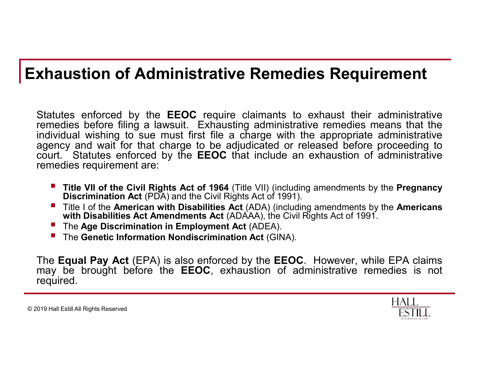#### Exhaustion of Administrative Remedies Requirement

**xhaustion of Administrative Remedies Requirement**<br>Statutes enforced by the EEOC require claimants to exhaust their administrative<br>remedies before filing a lawsuit. Exhausting administrative remedies means that the<br>individ **xhaustion of Administrative Remedies Requirement**<br>Statutes enforced by the **EEOC** require claimants to exhaust their administrative<br>remedies before filing a lawsuit. Exhausting administrative remedies means that the<br>indiv **xhaustion of Administrative Remedies Requirement**<br>Statutes enforced by the EEOC require claimants to exhaust their administrative<br>remedies before filing a lawsuit. Exhausting administrative remedies means that the<br>individ **xhaustion of Administrative Remedies Requirement**<br>
Statutes enforced by the EEOC require claimants to exhaust their administrative<br>
remedies before filing a lawsuit. Exhausting administrative remedies means that the<br>
ind **xhaustion of Administrative Remedies Requirement**<br>
Statutes enforced by the **EEOC** require claimants to exhaust their administrative<br>
remedies before filing a lawsuit. Exhausting administrative remedies means that the<br>
i **xhaustion of Administrative Remedies R**<br>
Statutes enforced by the **EEOC** require claimants to exhauster<br>
statutes enforced by the **EEOC** require claimants to exhauster<br>
individual wishing to sue must first file a charge **The Civil Rights Act of 1964** (Title VII) (including amendments by the American Direction of the predict of the invidual wishing to sue must first file a charge with the appropriate administrative invidual wishing to sue **ustion of Administrative Remedies Requirement**<br>
es enforced by the EEOC require claimants to exhaust their administrative<br>
dies before filing a lawsuit. Exhausting administrative remedies means that the<br>
thual wishing to **Numerican Constrained Exercise Schemetics**<br> **Requirement**<br>
tutes enforced by the EEOC require claimants to exhaust their administrative<br>
needies before filling a lawswith. Exhausting administrative remedies means that th **ustion of Administrative Remedies Requirement**<br>es enforced by the EEOC require claimants to exhaust their administrative<br>dies before filing a lawsuit. Exhausting administrative remedies means that the<br>ly and wishing to su **Nation of Administrative Remedies Requirement**<br>titles enforced by the EEOC require claimants to exhaust their administrative<br>energies before filing a lawsuit. Exhausting administrative remedies means that<br>ividual wishing **Example 19 and 19 and 19 and 19 and 19 and 19 and 19 and 19 and 19 and 19 and 19 and 19 and 19 and 19 and 19 and 19 and 19 and 19 and 19 and 19 and 19 and 19 and 19 and 19 and 19 and 19 and 19 and 19 and 19 and 19 and 19** Statutes enforced by the **EEOC** require claimants to exhaust their administrative<br>remedies before filing a lawsuit. Exhausting administrative remedies means that the<br>digital wishing to sue must first file a charge with th Stattuse enrorced by the **EEOC** required can be the ECOC inter and the enrorced is not required to the enrorced by the enrorced by the Handrical wishing to sue must first file a charge with the appropriate administrative

- 
- 
- 
- 

required.

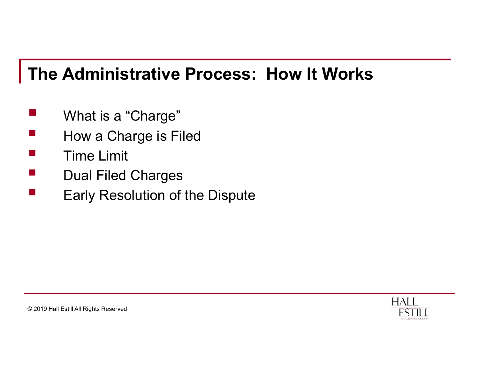## The Administrative Process: How It Works The Administrative Process: How It<br>
■ What is a "Charge"<br>
■ How a Charge is Filed<br>■ Time Limit The Administrative Process: How It Works<br>
• What is a "Charge"<br>
• How a Charge is Filed<br>
• Time Limit<br>
• Dual Filed Charges The Administrative Process: How<br>
• What is a "Charge"<br>
• How a Charge is Filed<br>
• Time Limit<br>
• Dual Filed Charges<br>
• Farly Resolution of the Dispute The Administrative Process: How It V<br>
• What is a "Charge"<br>
• How a Charge is Filed<br>
• Time Limit<br>
• Dual Filed Charges<br>
• Early Resolution of the Dispute The Administrative Process: How It Works<br>
• What is a "Charge"<br>
• How a Charge is Filed<br>
• Time Limit<br>
• Dual Filed Charges<br>
• Early Resolution of the Dispute

- 
- 
- 
- 
- 

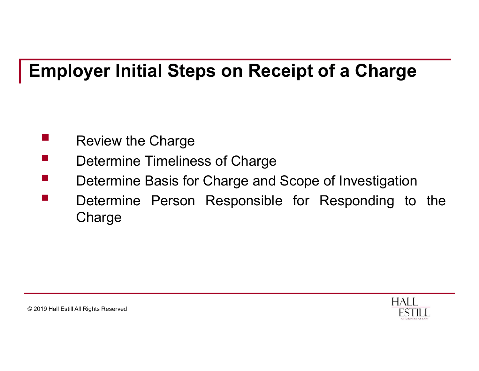## Employer Initial Steps on Receipt of a Charge mployer Initial Steps on Receipt of a<br>
Review the Charge<br>
Determine Timeliness of Charge<br>
Determine Basis for Charge and Scope of In mployer Initial Steps on Receipt of a Charge<br>
Review the Charge<br>
Determine Timeliness of Charge<br>
Determine Basis for Charge and Scope of Investigation<br>
Determine Person Responsible for Responding to the

- 
- 
- 
- mployer Initial Steps on Receipt of a Charge<br>
Review the Charge<br>
Determine Timeliness of Charge<br>
Determine Basis for Charge and Scope of Investigation<br>
Determine Person Responsible for Responding to the<br>
Charge **IMPLOYER INITERT STATES OF RECEIPT OF A Charge<br>
The Review the Charge<br>
Determine Timeliness of Charge<br>
Determine Basis for Charge and Scope of Investigation<br>
Determine Person Responsible for Responding to the Charge Charge**

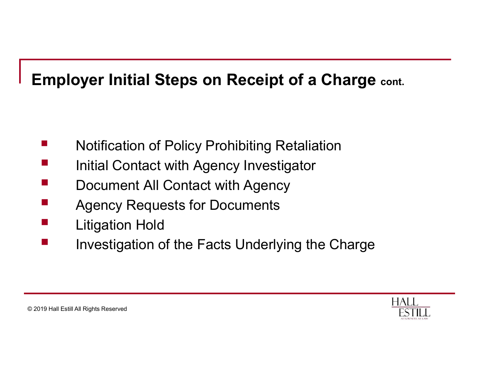## <table>\n<tbody>\n<tr>\n<th>implayer Initial Steps on Receiver of a Charge</th>\n</tr>\n<tr>\n<td>Notification of Policy Prohibiting Retaliation</td>\n</tr>\n<tr>\n<td>Initial Contact with Agency Investigator</td>\n</tr>\n<tr>\n<td>Document All Contact with Agency</td>\n</tr>\n</tbody>\n</table> <table>\n<tbody>\n<tr>\n<th>implayer Initial Steps on Receiver of a Charge</th>\n</tr>\n<tr>\n<td>■</td>\n<td>Notification of Policy Prohibiting Retaliation</td>\n</tr>\n<tr>\n<td>■</td>\n<td>Initial Contact with Agency Investigator</td>\n</tr>\n<tr>\n<td>■</td>\n<td>Document All Contact with Agency</td>\n</tr>\n<tr>\n<td>■</td>\n<td>Accepte's for Decuments</td>\n</tr>\n</tbody>\n</table> <table>\n<tbody>\n<tr>\n<th>implayer Initial Steps on Receiver of a Charge</th>\n</tr>\n<tr>\n<td>1</td>\n<td>Notification of Policy Prohibiting Retaliation</td>\n</tr>\n<tr>\n<td>2</td>\n<td>Initial Contact with Agency Investigator</td>\n</tr>\n<tr>\n<td>3</td>\n<td>Document All Contact with Agency</td>\n</tr>\n<tr>\n<td>4</td>\n<td>Algorithm Hold</td>\n</tr>\n</tbody>\n</table> Fillering Steps on Receipt of a Charge cont.<br>
■ Notification of Policy Prohibiting Retaliation<br>
■ Initial Contact with Agency Investigator<br>
■ Document All Contact with Agency<br>
Agency Requests for Documents<br>
■ Litigation H External Initial Steps on Receipt of a C<br>
■ Notification of Policy Prohibiting Retaliation<br>
■ Initial Contact with Agency Investigator<br>
■ Document All Contact with Agency<br>
Agency Requests for Documents<br>
■ Litigation Hold<br> Employer Initial Steps on Receipt of a Charge cont.

- 
- 
- 
- 
- 
- Notification of Policy Prohibiting Retaliation<br>
 Initial Contact with Agency Investigator<br>
 Document All Contact with Agency<br>
Agency Requests for Documents<br>
Litigation Hold<br>
 Investigation of the Facts Underlying the

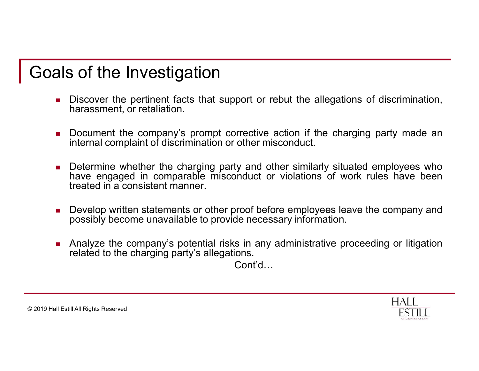- Goals of the Investigation<br>• Discover the pertinent facts that support or rebut the all<br>• harassment, or retaliation. **als of the Investigation**<br>• Discover the pertinent facts that support or rebut the allegations of discrimination,<br>• Document the company's prompt corrective action if the charging party made an **S of the Investigation**<br>Discover the pertinent facts that support or rebut the allegarednarassment, or retaliation.<br>Document the company's prompt corrective action if the c<br>internal complaint of discrimination or other mi **IS Of the Investigation**<br>
• Discover the pertinent facts that support or rebut the allegations of discrimination,<br>
• Document the company's prompt corrective action if the charging party made an<br>
• Determine whether the c
	-
	- internal complaint of the discrimination of the pertinent facts that support or rebut the allegations of discrimination,<br>harassment, or retaliation.<br>Document the company's prompt corrective action if the charging party mad **Solution**<br> **Example 19 and Solution**<br> **Example 19 and Solution Sharesment, or retaliation.**<br> **Example the company's prompt corrective action if the charging party made and internal complaint of discrimination or other mis** Frank of the **investigation**<br>Discover the pertinent facts that support or rebut the allegations of discrimination,<br>harassment, or retaliation.<br>Document the company's prompt corrective action if the charging party made an<br>i S of the Investigation<br>Discover the pertinent facts that support or rebut the allegations charassment, or retaliation.<br>Document the company's prompt corrective action if the charging<br>Internal complaint of discrimination or **Example 19 and Solution School with the statement facts that support or rebut the allegations of discrimination, harassment, or retaliation.**<br>
	• Document the company's prompt corrective action if the charging party made a **S of the Investigation**<br>Discover the pertinent facts that support or rebut the allegations of discrimination,<br>harassment, or retaliation.<br>Document the company's prompt corrective action if the charging party made an<br>inter ■ Discover the pertinent facts that support or rebut the allegations of discrimination,<br>harassment, or retaliation.<br>
	■ Decument the company's prompt corrective action if the charging party made an<br>
	internal complaint of d Discover the pertinent facts that support or rebut the allegations of discribar<br>asssment, or retaliation.<br>Document the company's prompt corrective action if the charging party<br>internal complaint of discrimination or other
	-
	-

Cont'd…

**HALL**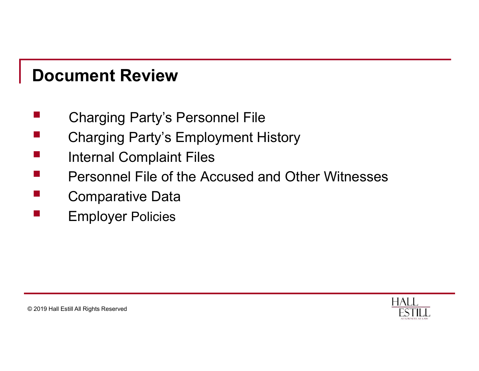#### Document Review

- 
- **Document Review<br>■ Charging Party's Personnel File<br>■ Charging Party's Employment History<br>■ Internal Complaint Files Document Review<br>
■ Charging Party's Personnel File<br>■ Charging Party's Employment History<br>■ Internal Complaint Files<br>■ Personnel File of the Accused and Other Witnesses**
- 
- <table>\n<tbody>\n<tr>\n<th>Document Review</th>\n</tr>\n<tr>\n<td>Charging Party's Personal File</td>\n</tr>\n<tr>\n<td>Charging Party's Employment History</td>\n</tr>\n<tr>\n<td>Internal Complaint Files</td>\n</tr>\n<tr>\n<td>Personal File of the Accused and Other Witnesses</td>\n</tr>\n<tr>\n<td>Comparative Data</td>\n</tr>\n</tbody>\n</table> **Document Review<br>
Charging Party's Personnel File<br>
Charging Party's Employment History<br>
Internal Complaint Files<br>
Personnel File of the Accused and Other Witnesses<br>
Comparative Data<br>
Final Personnel Policies<br>
Final Personn Document Review<br>
Charging Party's Personnel File<br>
Charging Party's Employment History<br>
Internal Complaint Files<br>
Personnel File of the Accused and Other Witr<br>
Comparative Data<br>
Employer Policies**
- 
- Employer Policies

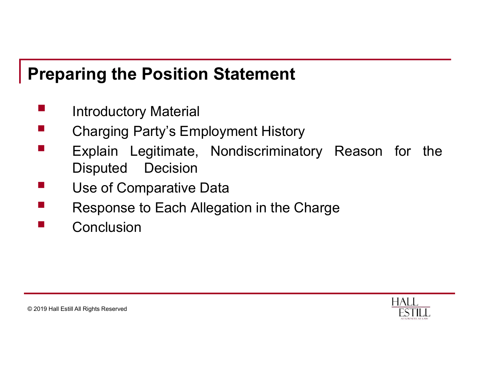# Preparing the Position Statement <table>\n<tbody>\n<tr>\n<th>Yreparing the Position Statement</th>\n</tr>\n<tr>\n<td>■</td>\n<td>Introducing Marty's Emplogment History</td>\n</tr>\n<tr>\n<td>■</td>\n<td>Erplain–I equitimate</td>\n<td>Nondiscriminatory</td>\n<td>Re</td>\n</tr>\n</tbody>\n</table>

- 
- 
- <table>\n<tbody>\n<tr>\n<th>Preparing the Position Statement</th>\n</tr>\n<tr>\n<td>Intoductory Material</td>\n</tr>\n<tr>\n<td>Charging Party's Employment History</td>\n</tr>\n<tr>\n<td>Explain Legitimate, Nondiscriminatory Reason for the Disputed Decision</td>\n</tr>\n</tbody>\n</table> Preparing the Position Statement<br>
■ Introductory Material<br>
■ Charging Party's Employment History<br>
■ Explain Legitimate, Nondiscriminatory Reason for the<br>
Disputed Decision<br>
■ Use of Comparative Data **Tring the Position Statement<br>
Introductory Material<br>
Charging Party's Employment History<br>
Explain Legitimate, Nondiscriminatory R<br>
Disputed Decision<br>
Use of Comparative Data<br>
Response to Fach Allegation in the Charge** <table>\n<tbody>\n<tr>\n<th>Preparing the Position Statement</th>\n</tr>\n<tr>\n<td>Introducing the Position Statement</td>\n</tr>\n<tr>\n<td>Chargining Party's Employment History</td>\n</tr>\n<tr>\n<td>Explain Legitimate, Nondiscriminatory Reason of Disputed Decision</td>\n</tr>\n<tr>\n<td>Use of Comparative Data Response to Each Algebra in the Charge</td>\n</tr>\n<tr>\n<td>Conclusion</td>\n</tr>\n</tbody>\n</table> The Position Statement<br>
The Introductory Material<br>
Charging Party's Employment History<br>
Explain Legitimate, Nondiscriminatory Reason for the<br>
Disputed Decision<br>
Use of Comparative Data<br>
Response to Each Allegation in the C
- 
- 
- **Conclusion**

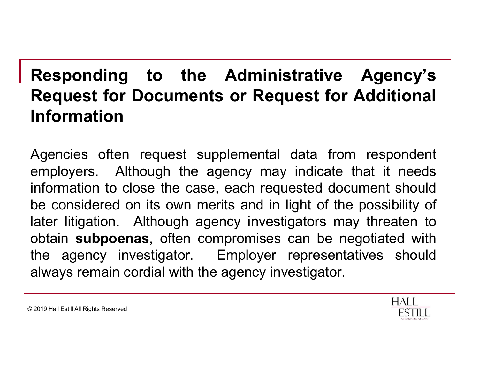## Responding to the Administrative Agency's<br>Request for Documents or Request for Additional<br>Information Responding to the Administrative Agency's<br>Request for Documents or Request for Additional<br>Information Information Responding to the Administrative Agency's<br>
Request for Documents or Request for Additional<br>
Information<br>
Agencies often request supplemental data from respondent<br>
employers. Although the agency may indicate that it needs<br>

Responding to the Administrative Agency's<br>Request for Documents or Request for Additional<br>Information<br>Agencies often request supplemental data from respondent<br>employers. Although the agency may indicate that it needs<br>infor **Responding to the Administrative Agency's<br>
Request for Documents or Request for Additional<br>
Information**<br>
Agencies often request supplemental data from respondent<br>
employers. Although the agency may indicate that it needs **Responding to the Administrative Agency's**<br> **Request for Documents or Request for Additional**<br> **Information**<br>
Agencies often request supplemental data from respondent<br>
employers. Although the agency may indicate that it n **Responding to the Administrative Agency's<br>
Request for Documents or Request for Additional<br>
Information**<br>
Agencies often request supplemental data from respondent<br>
employers. Although the agency may indicate that it needs **Request for Documents or Request for Additional Information**<br> **Agencies often request supplemental data from respondent**<br>
employers. Although the agency may indicate that it needs<br>
information to close the case, each requ Information<br>
Agencies often request supplemental data from respondent<br>
employers. Although the agency may indicate that it needs<br>
information to close the case, each requested document should<br>
be considered on its own meri **Agencies often request supplemental data from respondent**<br>employers. Although the agency may indicate that it needs<br>information to close the case, each requested document should<br>be considered on its own merits and in lig

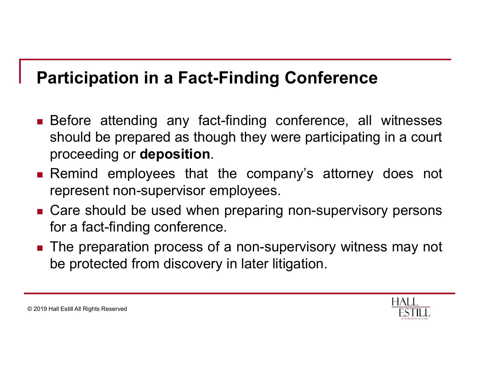# Participation in a Fact-Finding Conference<br>- Before attending any fact-finding conference, all witnesses

- **Participation in a Fact-Finding Conference**<br> **Exercise attending any fact-finding conference, all witnesses**<br>
should be prepared as though they were participating in a court<br>
proceeding or **deposition**. **articipation in a Fact-Finding Conference**<br>Before attending any fact-finding conference, all witnesses<br>should be prepared as though they were participating in a court<br>proceeding or **deposition**.<br>Remind employees that the **Participation in a Fact-Finding Conference**<br> **Exercise Exercise Should be prepared as though they were participating in a court proceeding or deposition.**<br> **Exercise Action** employees that the company's attorney does not **articipation in a Fact-Finding Conference**<br>Before attending any fact-finding conference, all wither<br>should be prepared as though they were participating in a<br>proceeding or **deposition**.<br>Remind employees that the company's **Participation in a Fact-Finding Conference**<br> **Exerce attending any fact-finding conference**, all witnesses<br>
should be prepared as though they were participating in a court<br>
proceeding or **deposition**.<br> **Examind employees articipation in a Fact-Finding Conferen**<br>Before attending any fact-finding conference,<br>should be prepared as though they were participa<br>proceeding or **deposition**.<br>Remind employees that the company's attor<br>represent non-s ■ Before attending any fact-finding conference, all witnesses should be prepared as though they were participating in a court proceeding or **deposition**.<br>
■ Remind employees that the company's attorney does not represent Before attending any fact-finding conference, all witnesses<br>should be prepared as though they were participating in a court<br>proceeding or **deposition**.<br>Remind employees that the company's attorney does not<br>represent non-su
- 
- 
- 

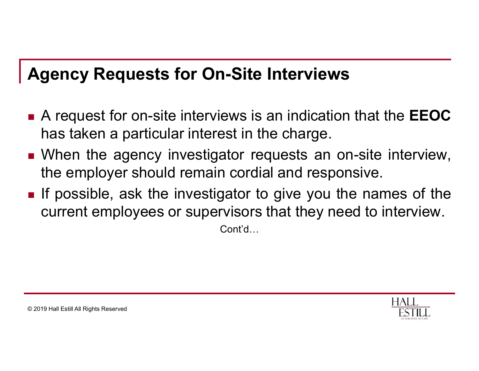#### Agency Requests for On-Site Interviews

- Agency Requests for On-Site Interviews<br>■ A request for on-site interviews is an indication that the EEOC<br>has taken a particular interest in the charge.<br>■ When the agency investigator requests an on-site interview **gency Requests for On-Site Interviews**<br>A request for on-site interviews is an indication that the **EEOC**<br>has taken a particular interest in the charge.<br>When the agency investigator requests an on-site interview,<br>the emplo **Agency Requests for On-Site Interviews**<br>
■ A request for on-site interviews is an indication that the **EEOC**<br>
has taken a particular interest in the charge.<br>
■ When the agency investigator requests an on-site interview,<br> **gency Requests for On-Site Interviews**<br>A request for on-site interviews is an indication that the **EEOC**<br>has taken a particular interest in the charge.<br>When the agency investigator requests an on-site interview,<br>the emplo
- 
- **Agency Requests for On-Site Interviews**<br>
 A request for on-site interviews is an indication that the **EEOC**<br>
has taken a particular interest in the charge.<br>
 When the agency investigator requests an on-site interview,<br> **Current School School School School School School School School**<br>A request for on-site interviews is an indication that the **EEOC**<br>has taken a particular interest in the charge.<br>When the agency investigator requests an on

Cont'd…

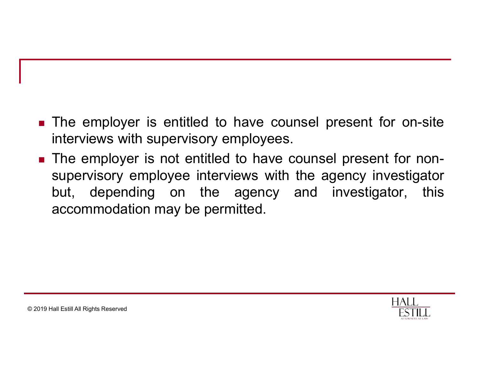- The employer is entitled to have counsel present for on-site<br>interviews with supervisory employees.<br>■ The employer is not entitled to have counsel present for non-The employer is entitled to have counsel present for on-<br>interviews with supervisory employees.<br>The employer is not entitled to have counsel present for r<br>supervisory employee interviews with the agency investig
- The employer is entitled to have counsel present for on-site<br>interviews with supervisory employees.<br>The employer is not entitled to have counsel present for non-<br>supervisory employee interviews with the agency investigator The employer is entitled to have counsel present for on-site<br>interviews with supervisory employees.<br>The employer is not entitled to have counsel present for non-<br>supervisory employee interviews with the agency investigator The employer is entitled to have counsel present for on-site<br>interviews with supervisory employees.<br>The employer is not entitled to have counsel present for non-<br>supervisory employee interviews with the agency investigator The employer is entitled to have counsel present for<br>interviews with supervisory employees.<br>The employer is not entitled to have counsel present for<br>supervisory employee interviews with the agency inves<br>but, depending on t

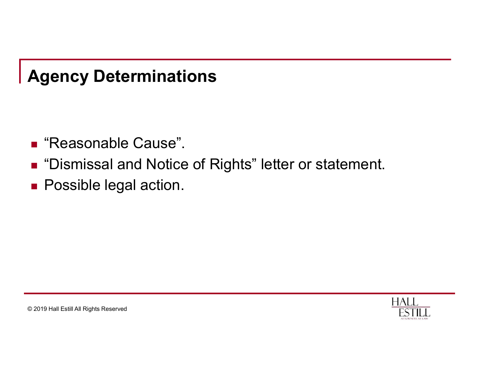#### Agency Determinations

- 
- **Agency Determinations<br>■ "Reasonable Cause".<br>■ "Dismissal and Notice of Rights" letter or sta<br>■ Possible legal action** Agency Determinations<br>■ "Reasonable Cause".<br>■ "Dismissal and Notice of Rights" letter or statement.<br>■ Possible legal action. Agency Determinations<br>■ "Reasonable Cause".<br>■ "Dismissal and Notice of Rights" letter or stat<br>■ Possible legal action.
- 

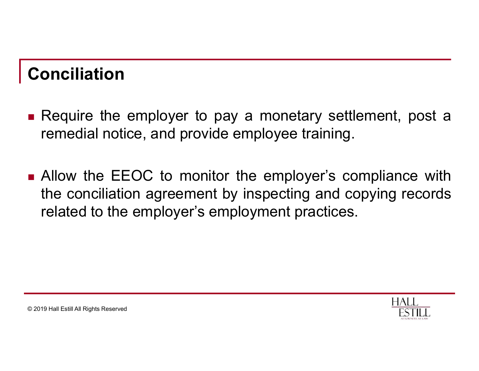#### Conciliation

- **Conciliation**<br>• Require the employer to pay a monetary settlement, post a remedial notice, and provide employee training. onciliation<br>Require the employer to pay a monetary settlement, post a<br>remedial notice, and provide employee training.<br>Allow the EEOC to monitor the employer's compliance with
- **Conciliation**<br>
 Require the employer to pay a monetary settlement, post a remedial notice, and provide employee training.<br>
 Allow the EEOC to monitor the employer's compliance with the conciliation agreement by inspect **CONCILIATION**<br>The conciliation<br>The conciliation and provide employee training.<br>Allow the EEOC to monitor the employer's compliance with<br>the conciliation agreement by inspecting and copying records<br>related to the employer' **Propertigate Conciliation**<br>Require the employer to pay a monetary settlement, post a<br>remedial notice, and provide employee training.<br>Allow the EEOC to monitor the employer's compliance with<br>the conciliation agreement by i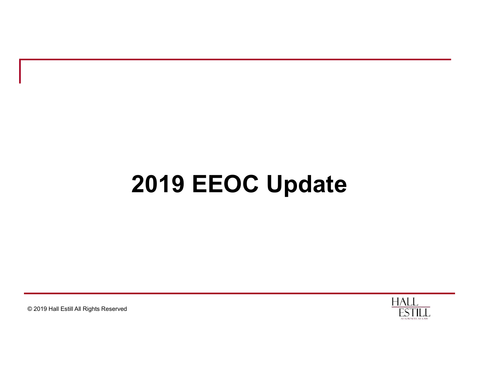#### 2019 EEOC Update

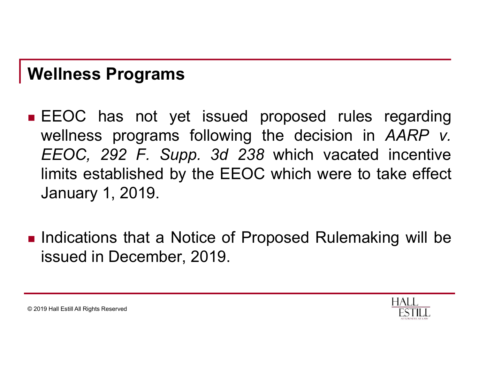#### Wellness Programs

- Wellness Programs<br>
EEOC has not yet issued proposed rules regarding<br>
wellness programs following the decision in AARP v.<br>
EEOC 292 F. Supp. 3d 238 which vacated incentive Follness Programs<br>EEOC has not yet issued proposed rules regarding<br>wellness programs following the decision in AARP v.<br>EEOC, 292 F. Supp. 3d 238 which vacated incentive<br>limits established by the EEOC which were to take eff Force Section Controllers Programs<br>
EEOC has not yet issued proposed rules regarding<br>
wellness programs following the decision in AARP v.<br>
EEOC, 292 F. Supp. 3d 238 which vacated incentive<br>
limits established by the EEOC w **Inless Programs**<br>
EEOC has not yet issued proposed rules regarding<br>
wellness programs following the decision in *AARP v.*<br>
EEOC, 292 F. Supp. 3d 238 which vacated incentive<br>
limits established by the EEOC which were to ta **The Summer Setter Setter Setter Setter Setter Setter Setter Setter Setter Setter Setter Setter Setter Setter Setter Setter Setter Setter Setter Setter Setter Setter Setter Setter Setter Setter Setter Setter Setter Setter** ■ EEOC has not yet issued proposed rules regarding<br>wellness programs following the decision in *AARP v.*<br>EEOC, 292 F. Supp. 3d 238 which vacated incentive<br>limits established by the EEOC which were to take effect<br>January EEOC has not yet issued proposed rules r<br>wellness programs following the decision in *REOC*, 292 F. Supp. 3d 238 which vacated<br>limits established by the EEOC which were to ta<br>January 1, 2019.<br>Indications that a Notice of P
- 

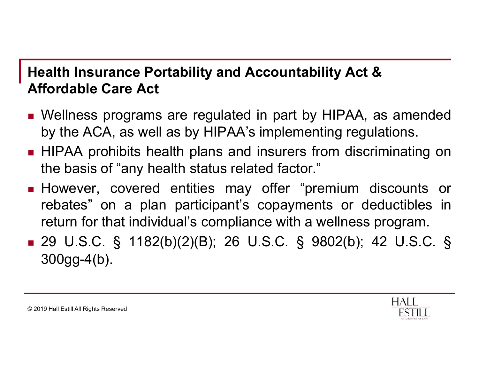#### Health Insurance Portability and Accountability Act & Affordable Care Act

- **Health Insurance Portability and Accountability Act &**<br> **Affordable Care Act**<br>
 Wellness programs are regulated in part by HIPAA, as amended<br>
by the ACA, as well as by HIPAA's implementing regulations.<br>■ HIPAA prohibits **Example 18 Example 10 Sealth Insurance Portability and Accountability Act &**<br> **Straight Care Act**<br>
Wellness programs are regulated in part by HIPAA, as amended<br>
by the ACA, as well as by HIPAA's implementing regulations.<br>
- **Health Insurance Portability and Accountability Act &**<br> **Affordable Care Act**<br> **Exercise Manumiful Manumiful Action**<br> **Exercise Subsets** programs are regulated in part by HIPAA, as amended<br>
by the ACA, as well as by HIPAA **Example 15 Sealth Insurance Portability and Accountability Act &**<br> **Tordable Care Act**<br>
Wellness programs are regulated in part by HIPAA, as amended<br>
by the ACA, as well as by HIPAA's implementing regulations.<br>
HIPAA proh
- **Health Insurance Portability and Accountability Act &**<br> **Affordable Care Act**<br> **Exercise May of the ACA, as well as by HIPAA's implementing regulations.**<br> **EXECT HIPAA** prohibits health plans and insurers from discriminat **Example 12**<br> **Example Care Act**<br> **Example Care Act**<br> **Contable Care Act**<br> **Contable Care Act**<br> **Contable Care Act**<br> **Contable Care Act**<br> **Contable Care Act**<br> **Contable by HIPAA's implementing regulations.**<br> **HIPAA** prohib ealth Insurance Portability and Accountability Act &<br>
fordable Care Act<br>
Wellness programs are regulated in part by HIPAA, as amended<br>
by the ACA, as well as by HIPAA's implementing regulations.<br>
HIPAA prohibits health pla Attordable Care Act<br>
■ Wellness programs are regulated in part by HIPAA, as amended<br>
by the ACA, as well as by HIPAA's implementing regulations.<br>
■ HIPAA prohibits health plans and insurers from discriminating on<br>
the bas
- 300gg-4(b).

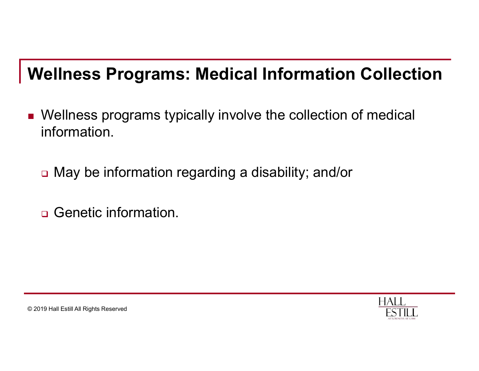#### Wellness Programs: Medical Information Collection

- Wellness programs typically involve the collection of medical information.
	- □ May be information regarding a disability; and/or
	- □ Genetic information.

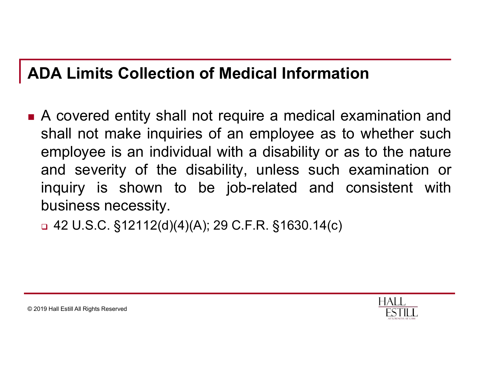#### ADA Limits Collection of Medical Information

**ADA Limits Collection of Medical Information**<br> **•** A covered entity shall not require a medical examination and shall not make inquiries of an employee as to whether such employee is an individual with a disability or as **DA Limits Collection of Medical Information**<br>A covered entity shall not require a medical examination and<br>shall not make inquiries of an employee as to whether such<br>employee is an individual with a disability or as to the **DA Limits Collection of Medical Information**<br>A covered entity shall not require a medical examination and<br>shall not make inquiries of an employee as to whether such<br>employee is an individual with a disability or as to the **DA Limits Collection of Medical Information**<br>A covered entity shall not require a medical examination and<br>shall not make inquiries of an employee as to whether such<br>employee is an individual with a disability or as to the **DA Limits Collection of Medical Information**<br>A covered entity shall not require a medical examination and<br>shall not make inquiries of an employee as to whether such<br>employee is an individual with a disability or as to th **DA Limits Collection of Medical Inf**<br>A covered entity shall not require a me<br>shall not make inquiries of an employe<br>employee is an individual with a disabi<br>and severity of the disability, unless<br>inquiry is shown to be job

 $\Box$  42 U.S.C. §12112(d)(4)(A); 29 C.F.R. §1630.14(c)

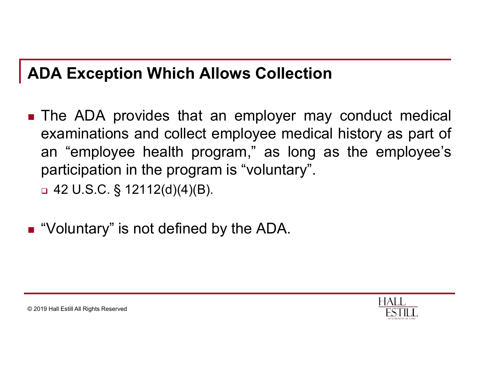#### ADA Exception Which Allows Collection

- **ADA Exception Which Allows Collection**<br> **Exception Which Allows Collection**<br> **Examinations and collect employee medical history as part of<br>
an "employee health program," as long as the employee's DA Exception Which Allows Collection**<br>The ADA provides that an employer may conduct medical<br>examinations and collect employee medical history as part of<br>an "employee health program," as long as the employee's<br>participatio **DA Exception Which Allows Collection**<br>The ADA provides that an employer may conduct medical<br>examinations and collect employee medical history as part of<br>an "employee health program," as long as the employee's<br>participatio DA Exception Which Allows Collection<br>The ADA provides that an employer may conduct medic<br>examinations and collect employee medical history as part<br>an "employee health program," as long as the employee<br>participation in the **DA Exception Which Allows Collectio**<br>The ADA provides that an employer ma<br>examinations and collect employee medican<br>an "employee health program," as long<br>participation in the program is "voluntary".<br>a 42 U.S.C. § 12112(d)
- "Voluntary" is not defined by the ADA.

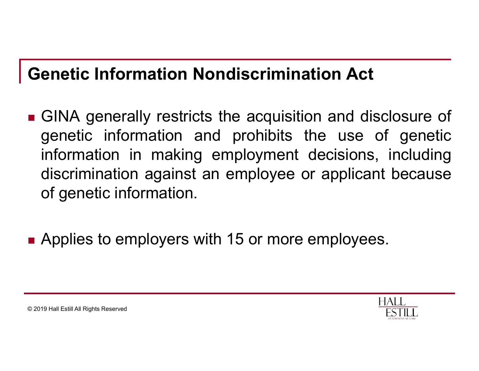#### Genetic Information Nondiscrimination Act

- Genetic Information Nondiscrimination Act<br>
GINA generally restricts the acquisition and disclosure of<br>
genetic information and prohibits the use of genetic<br>
information in making employment decisions, including **Exercic Information Nondiscrimination Act**<br>GINA generally restricts the acquisition and disclosure of<br>genetic information and prohibits the use of genetic<br>information in making employment decisions, including<br>discriminati **Exercic Information Nondiscrimination Act**<br>
GINA generally restricts the acquisition and disclosure of<br>
genetic information and prohibits the use of genetic<br>
information in making employment decisions, including<br>
discrimi **enetic Information Nondiscrimination Act**<br>GINA generally restricts the acquisition and disclosure of<br>genetic information and prohibits the use of genetic<br>information in making employment decisions, including<br>discriminatio **enetic Information Nondiscrimina**<br>
GINA generally restricts the acquisitio<br>
genetic information and prohibits the<br>
information in making employment discrimination against an employee or<br>
of genetic information.
- Applies to employers with 15 or more employees.

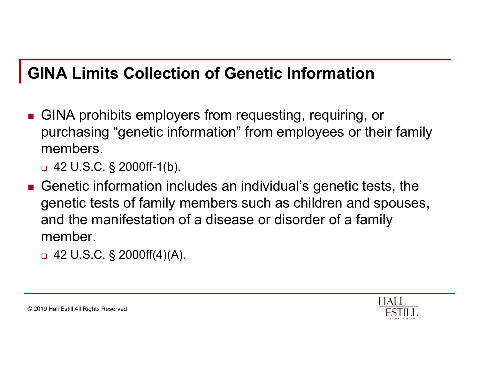#### GINA Limits Collection of Genetic Information

- GINA prohibits employers from requesting, requiring, or purchasing "genetic information" from employees or their family members. **INA Limits Collection of Genetic Info**<br>GINA prohibits employers from requesting, repurchasing "genetic information" from employ<br>members.<br>a 42 U.S.C. § 2000ff-1(b).<br>Genetic information includes an individual's genetic test
	-
- Genetic information includes an individual's genetic tests, the genetic tests of family members such as children and spouses, and the manifestation of a disease or disorder of a family member. GINA prohibits employers from requesting, repurchasing "genetic information" from employ<br>members.<br>
□ 42 U.S.C. § 2000ff-1(b).<br>
Genetic information includes an individual's genetic tests of family members such as chilo<br>
an
	-

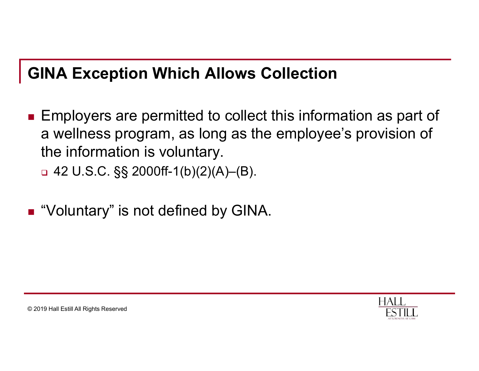#### GINA Exception Which Allows Collection

- **Employers are permitted to collect this information as part of** a wellness program, as long as the employee's provision of the information is voluntary. **INA Exception Which Allows Collection**<br>Employers are permitted to collect this inform<br>a wellness program, as long as the employe<br>the information is voluntary.<br>□ 42 U.S.C. §§ 2000ff-1(b)(2)(A)–(B).<br>"Voluntary" is not defi
	-
- "Voluntary" is not defined by GINA.

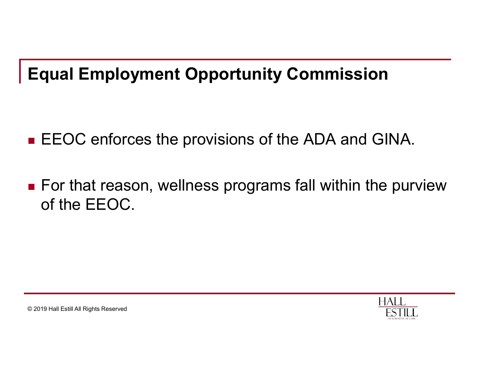#### Equal Employment Opportunity Commission

- **EXAGOC** enforces the provisions of the ADA and GINA.
- For that reason, wellness programs fall within the purview of the EEOC.

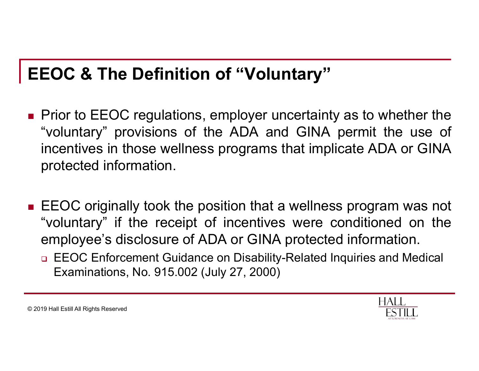#### EEOC & The Definition of "Voluntary"

- **EEOC & The Definition of "Voluntary"**<br>
Prior to EEOC regulations, employer uncertainty as to whether the<br>
"voluntary" provisions of the ADA and GINA permit the use of<br>
incentives in those wellness programs that implicate **EOC & The Definition of "Voluntary"**<br>
Prior to EEOC regulations, employer uncertainty as to whether the<br>"voluntary" provisions of the ADA and GINA permit the use of<br>
incentives in those wellness programs that implicate AD **EOC & The Definition of "Voluntary"**<br>Prior to EEOC regulations, employer uncertainty as to whether the<br>"voluntary" provisions of the ADA and GINA permit the use of<br>incentives in those wellness programs that implicate ADA **EOC & The Definition of "Volunta"**<br>Prior to EEOC regulations, employer unce<br>"voluntary" provisions of the ADA and (incentives in those wellness programs tha<br>protected information.<br>FEOC originally took the position that a **EEOC & The Definition of "Voluntary"**<br>
• Prior to EEOC regulations, employer uncertainty as to whether the<br>
"voluntary" provisions of the ADA and GINA permit the use of<br>
incentives in those wellness programs that implicat **EOC & The Definition of "Voluntary"**<br>
Prior to EEOC regulations, employer uncertainty as to whether the<br>
"voluntary" provisions of the ADA and GINA permit the use of<br>
incentives in those wellness programs that implicate A Prior to EEOC regulations, employer uncertainty as to whether the<br>"voluntary" provisions of the ADA and GINA permit the use of<br>incentives in those wellness programs that implicate ADA or GINA<br>protected information.<br>EEOC or
- - EEOC Enforcement Guidance on Disability-Related Inquiries and Medical Examinations, No. 915.002 (July 27, 2000)

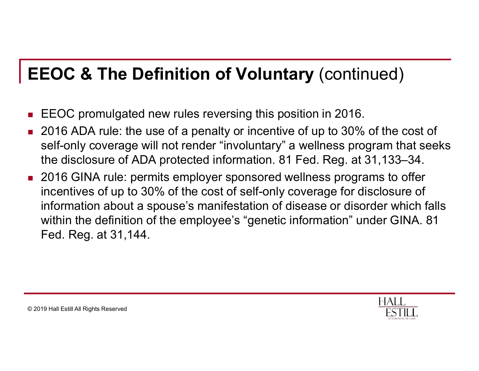#### EEOC & The Definition of Voluntary (continued)

- EEOC promulgated new rules reversing this position in 2016.
- 2016 ADA rule: the use of a penalty or incentive of up to 30% of the cost of self-only coverage will not render "involuntary" a wellness program that seeks the disclosure of ADA protected information. 81 Fed. Reg. at 31,133–34.
- 2016 GINA rule: permits employer sponsored wellness programs to offer incentives of up to 30% of the cost of self-only coverage for disclosure of information about a spouse's manifestation of disease or disorder which falls within the definition of the employee's "genetic information" under GINA. 81 Fed. Reg. at 31,144.

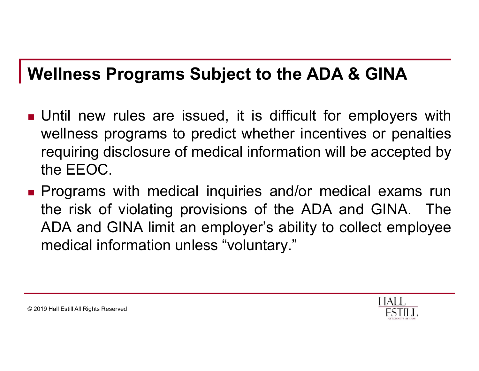#### Wellness Programs Subject to the ADA & GINA

- Wellness Programs Subject to the ADA & GINA<br>
 Until new rules are issued, it is difficult for employers with<br>
wellness programs to predict whether incentives or penalties<br>
requiring disclosure of medical information will Vellness Programs Subject to the ADA & GINA<br>Until new rules are issued, it is difficult for employers with<br>wellness programs to predict whether incentives or penalties<br>requiring disclosure of medical information will be ac **The Summan Subject to the ADA & GINA**<br>Until new rules are issued, it is difficult for employers with<br>wellness programs to predict whether incentives or penalties<br>requiring disclosure of medical information will be accepte **The Theory of Subject to Control Control Control Control Control Control Control Control Control Control Control Control Control Control Chernical Control Chernical Chernical Chernical Chernical Chernical Chernical Cherni Wellness Programs Subject to the ADA & GINA**<br>
• Until new rules are issued, it is difficult for employers with<br>
wellness programs to predict whether incentives or penalties<br>
requiring disclosure of medical information wil **The risk of violation Subject to the ADA & GINA**<br>
Until new rules are issued, it is difficult for employers with<br>
wellness programs to predict whether incentives or penalties<br>
requiring disclosure of medical information w
- Follow The ADA  $\alpha$  GINA<br>Until new rules are issued, it is difficult for employers with<br>wellness programs to predict whether incentives or penalties<br>requiring disclosure of medical information will be accepted by<br>the EEOC Until new rules are issued, it is difficult for employers<br>wellness programs to predict whether incentives or pena<br>requiring disclosure of medical information will be accepte<br>the EEOC.<br>Programs with medical inquiries and/or

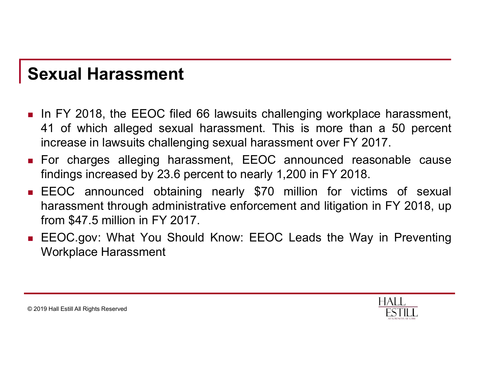#### Sexual Harassment

- Sexual Harassment<br>
In FY 2018, the EEOC filed 66 lawsuits challenging workplace harassment,<br>
41 of which alleged sexual harassment. This is more than a 50 percent<br>
increase in lawsuits challenging sexual harassment over FY **Exual Harassment**<br>
In FY 2018, the EEOC filed 66 lawsuits challenging workplace harassment,<br>
41 of which alleged sexual harassment. This is more than a 50 percent<br>
increase in lawsuits challenging sexual harassment over F **Exual Harassment**<br>In FY 2018, the EEOC filed 66 lawsuits challenging workplace harassment,<br>41 of which alleged sexual harassment. This is more than a 50 percent<br>increase in lawsuits challenging sexual harassment over FY 2 **Sexual Harassment**<br> **For Care alleging harassment**<br> **For charges alleging harassment.** This is more than a 50 percent<br>
increase in lawsuits challenging sexual harassment over FY 2017.<br>
For charges alleging harassment, EEO **EXUAI Harassment**<br>
In FY 2018, the EEOC filed 66 lawsuits challenging workplace harassment,<br>
41 of which alleged sexual harassment. This is more than a 50 percent<br>
increase in lawsuits challenging sexual harassment over F
- 
- **Sexual Harassment**<br> **EXECUTE:** In FY 2018, the EEOC filed 66 lawsuits challenging workplace harassment,<br>
41 of which alleged sexual harassment. This is more than a 50 percent<br>
increase in lawsuits challenging sexual haras **EXUAI Harassment**<br>
In FY 2018, the EEOC filed 66 lawsuits challenging workplace harassment,<br>
41 of which alleged sexual harassment. This is more than a 50 percent<br>
increase in lawsuits challenging sexual harassment over F **EXUAL Harassment**<br>
In FY 2018, the EEOC filed 66 lawsuits challenging workpla<br>
41 of which alleged sexual harassment. This is more thai<br>
increase in lawsuits challenging sexual harassment over FY 2<br>
For charges alleging h ■ In FY 2018, the EEOC filed 66 lawsuits challenging workplace harassment, 41 of which alleged sexual harassment. This is more than a 50 percent increase in lawsuits challenging sexual harassment over FY 2017.<br>■ For charg In FY 2018, the EEOC filed 66 lawsuits challen<br>41 of which alleged sexual harassment. This<br>increase in lawsuits challenging sexual harassme<br>For charges alleging harassment, EEOC ant<br>findings increased by 23.6 percent to ne
- 

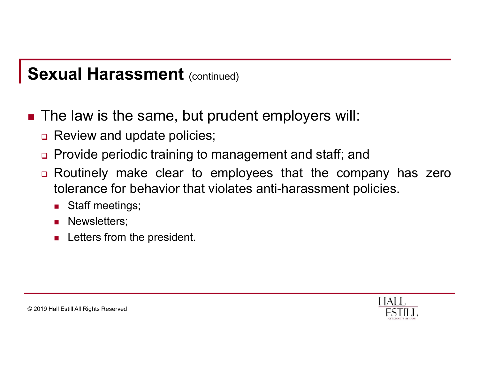#### Sexual Harassment (continued)

- Sexual Harassment (continued)<br>■ The law is the same, but prudent employers will:<br>□ Review and update policies;<br>□ Provide periodic training to management and staff: and **Exual Harassment** (continued)<br>The law is the same, but prudent employers will:<br>□ Review and update policies;<br>□ Provide periodic training to management and staff; and<br>□ Routinely make clear to employees that the comp
	-
	-
	- Provide Harassment (continued)<br>
	The law is the same, but prudent employers will:<br>
	□ Review and update policies;<br>
	□ Provide periodic training to management and staff; and<br>
	□ Routinely make clear to employees that the compa **Exual Harassment** (continued)<br>
	The law is the same, but prudent employers will:<br>  $\Box$  Review and update policies;<br>  $\Box$  Provide periodic training to management and staff; and<br>  $\Box$  Routinely make clear to employees that t **Example 18 Alter analytical Harassment** (continued)<br>
	The law is the same, but prudent employers will:<br>
	Review and update policies;<br>
	Provide periodic training to management and staff; and<br>
	Routinely make clear to employees **Calculary Harassment** (continued)<br>
	The law is the same, but prudent emp<br>
	Review and update policies;<br>
	Provide periodic training to management<br>
	Routinely make clear to employees the<br>
	tolerance for behavior that violates an The law is the same, but prudent employers w<br>
	Review and update policies;<br>
	Provide periodic training to management and staff;<br>
	Routinely make clear to employees that the corolerance for behavior that violates anti-harassme
		-
		- **Newsletters;**
		-

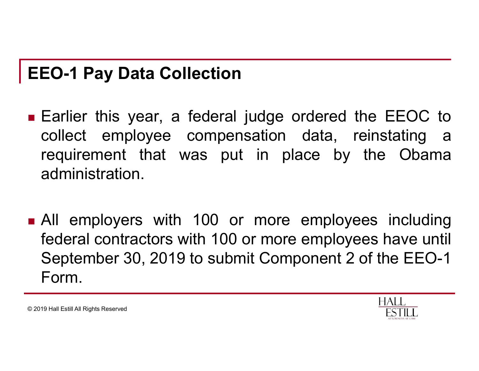#### EEO-1 Pay Data Collection

- EEO-1 Pay Data Collection<br>
Earlier this year, a federal judge ordered the EEOC to<br>
collect employee compensation data, reinstating a<br>
requirement that was put in place by the Obama EO-1 Pay Data Collection<br>Earlier this year, a federal judge ordered the EEOC to<br>collect employee compensation data, reinstating a<br>requirement that was put in place by the Obama<br>administration. **EO-1 Pay Data Collection**<br> **Earlier this year, a federal judge ordered the EEOC to**<br>
collect employee compensation data, reinstating a<br>
requirement that was put in place by the Obama<br>
administration. administration. **EEO-1 Pay Data Collection**<br>
■ Earlier this year, a federal judge ordered the EEOC to<br>
collect employee compensation data, reinstating a<br>
requirement that was put in place by the Obama<br>
administration.<br>
■ All employers wi Earlier this year, a federal judge ordered the EEOC to<br>collect employee compensation data, reinstating a<br>requirement that was put in place by the Obama<br>administration.<br>All employers with 100 or more employees including<br>fed
- Earlier this year, a federal judge ordered the EEOC to<br>collect employee compensation data, reinstating a<br>requirement that was put in place by the Obama<br>administration.<br>All employers with 100 or more employees including<br>fed Form.

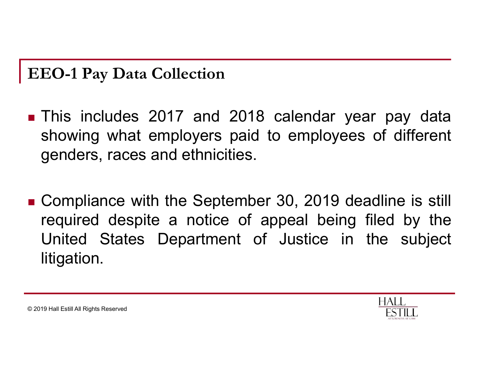#### EEO-1 Pay Data Collection

- EEO-1 Pay Data Collection<br>
Inis includes 2017 and 2018 calendar year pay data<br>
showing what employers paid to employees of different<br>
denders, races and ethnicities. EO-1 Pay Data Collection<br>This includes 2017 and 2018 calendar year pay data<br>showing what employers paid to employees of different<br>genders, races and ethnicities. EO-1 Pay Data Collection<br>This includes 2017 and 2018 calendar year<br>showing what employers paid to employees c<br>genders, races and ethnicities. EEO-1 Pay Data Collection<br>
• This includes 2017 and 2018 calendar year pay data<br>
showing what employers paid to employees of different<br>
genders, races and ethnicities.<br>
• Compliance with the September 30, 2019 deadline is
- EO-1 Pay Data Collection<br>This includes 2017 and 2018 calendar year pay data<br>showing what employers paid to employees of different<br>genders, races and ethnicities.<br>Compliance with the September 30, 2019 deadline is still<br>req This includes 2017 and 2018 calendar year pay data<br>showing what employers paid to employees of different<br>genders, races and ethnicities.<br>Compliance with the September 30, 2019 deadline is still<br>required despite a notice of litigation.



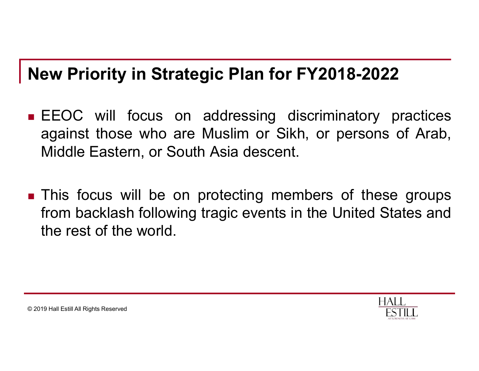#### New Priority in Strategic Plan for FY2018-2022

- **New Priority in Strategic Plan for FY2018-2022**<br> **EEOC** will focus on addressing discriminatory practices<br>
against those who are Muslim or Sikh, or persons of Arab,<br>
Middle Eastern, or South Asia descent. **EXECT: EXECT: EXECT: CONOCYTER INTERT:** THE MUSLIM TO A SHOW AND ARE MUSLIM OF SIKH, or persons of Arab, Middle Eastern, or South Asia descent. **EXECT THE THE STATE STATE OF STATE STATE STATE STATE OF STATE STATE STATE STATE STATE STATE STATE STATE STATE STATE STATE STATE STATE STATE STATE STATE STATE STATE STATE STATE STATE STATE STATE STATE STATE STATE STATE STA New Priority in Strategic Plan for FY2018-2022**<br> **EEOC** will focus on addressing discriminatory practices against those who are Muslim or Sikh, or persons of Arab, Middle Eastern, or South Asia descent.<br> **This focus will**
- **EXECT WHE STATE FROM BACK FROM BACKLASH FROM BACKLASH FROM BACKLASH FROM BACKLASH FROM BACKLASH FROM BACKLASH FROM BACKLASH following tragic events in the United States and the rest of the world.** EEOC will focus on addressing discrim<br>against those who are Muslim or Sikh, or<br>Middle Eastern, or South Asia descent.<br>This focus will be on protecting members<br>from backlash following tragic events in the l<br>the rest of the

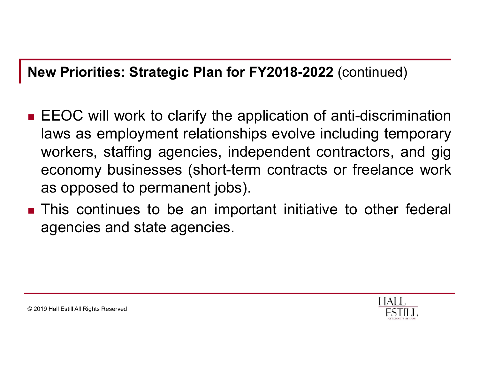#### New Priorities: Strategic Plan for FY2018-2022 (continued)

- **New Priorities: Strategic Plan for FY2018-2022** (continued)<br> **EEOC will work to clarify the application of anti-discrimination**<br>
laws as employment relationships evolve including temporary<br>
workers, staffing agencies, ind Examples: Strategic Plan for FY2018-2022 (continued)<br>EEOC will work to clarify the application of anti-discrimination<br>laws as employment relationships evolve including temporary<br>workers, staffing agencies, independent cont **EXECT:**<br> **EXECT:**<br> **EXECT:**<br> **EXECT:**<br> **EXECT:**<br> **EXECT:**<br> **EXECT:**<br> **EXECT:**<br> **EXECT:**<br> **EXECT:**<br> **EXECT:**<br> **EXECT:**<br> **EXECT:**<br> **EXECT:**<br> **EXECT:**<br> **EXECT:**<br> **EXECT:**<br> **EXECT:**<br> **EXECT:**<br> **EXECT:**<br> **EXECT:**<br> **EXECT:**<br> **E** Example were priorities: Strategic Plan for FY2018-2022 (continued)<br>EEOC will work to clarify the application of anti-discrimination<br>laws as employment relationships evolve including temporary<br>workers, staffing agencies, i **EXECT:** Strategic Plan for FY2018-2022 (continued)<br>EEOC will work to clarify the application of anti-discrimin<br>laws as employment relationships evolve including temp<br>workers, staffing agencies, independent contractors, ar New Priorities: Strategic Plan for FY2018-2022 (continued)<br>
EEOC will work to clarify the application of anti-discrimination<br>
laws as employment relationships evolve including temporary<br>
workers, staffing agencies, indepen EEOC will work to clarify the application of anti-d<br>laws as employment relationships evolve includin<br>workers, staffing agencies, independent contract<br>economy businesses (short-term contracts or fre<br>as opposed to permanent
- 

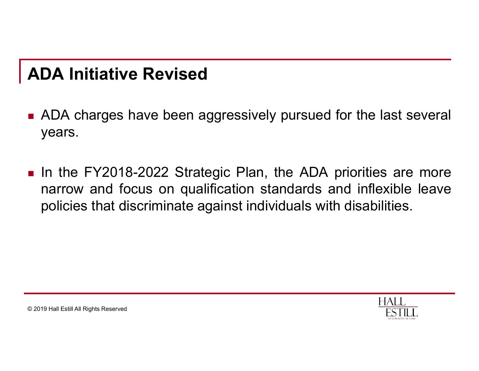#### ADA Initiative Revised

- ADA Initiative Revised<br>- ADA charges have been aggressively pursued for the last several<br>years. years.
- **ADA Initiative Revised**<br>■ ADA charges have been aggressively pursued for the last several<br>years.<br>■ In the FY2018-2022 Strategic Plan, the ADA priorities are more<br>narrow and focus on qualification standards and inflexible **DA Initiative Revised**<br>ADA charges have been aggressively pursued for the last several<br>years.<br>In the FY2018-2022 Strategic Plan, the ADA priorities are more<br>narrow and focus on qualification standards and inflexible leave **DA Initiative Revised**<br>ADA charges have been aggressively pursued for the last several<br>years.<br>In the FY2018-2022 Strategic Plan, the ADA priorities are more<br>narrow and focus on qualification standards and inflexible leave

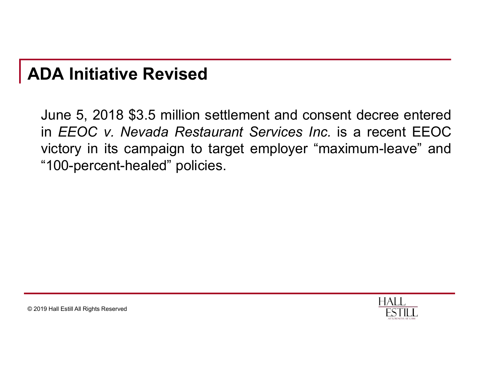#### ADA Initiative Revised

**DA Initiative Revised**<br>June 5, 2018 \$3.5 million settlement and consent decree entered<br>in *EEOC v. Nevada Restaurant Services Inc.* is a recent EEOC<br>victory in its campaign to target employer "maximum-leave" and **DA Initiative Revised**<br>June 5, 2018 \$3.5 million settlement and consent decree entered<br>in *EEOC v. Nevada Restaurant Services Inc.* is a recent EEOC<br>victory in its campaign to target employer "maximum-leave" and<br>"100-perc **DA Initiative Revised**<br>June 5, 2018 \$3.5 million settlement and consent decree entered<br>in *EEOC v. Nevada Restaurant Services Inc.* is a recent EEOC<br>victory in its campaign to target employer "maximum-leave" and<br>"100-perc **DA Initiative Revised**<br>June 5, 2018 \$3.5 million settlement and consent dee<br>in *EEOC v. Nevada Restaurant Services Inc.* is a revictory in its campaign to target employer "maximun<br>"100-percent-healed" policies.

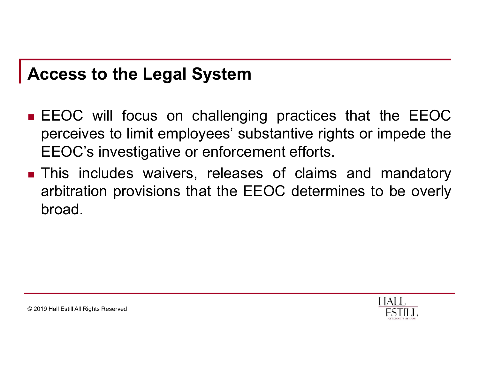#### Access to the Legal System

- Access to the Legal System<br>
EEOC will focus on challenging practices that the EEOC<br>
perceives to limit employees' substantive rights or impede the<br>
EEOC's investigative or enforcement efforts. **CCESS to the Legal System**<br>
EEOC will focus on challenging practices that the EEOC<br>
perceives to limit employees' substantive rights or impede the<br>
EEOC's investigative or enforcement efforts.<br>
This includes waivers relea **CCESS to the Legal System**<br> **EEOC** will focus on challenging practices that the EEOC<br>
perceives to limit employees' substantive rights or impede the<br>
EEOC's investigative or enforcement efforts.<br>
This includes waivers, re Access to the Legal System<br>
EEOC will focus on challenging practices that the EEOC<br>
perceives to limit employees' substantive rights or impede the<br>
EEOC's investigative or enforcement efforts.<br>
This includes waivers, relea
- **CCESS to the Legal System**<br>EEOC will focus on challenging practices that the EEOC<br>perceives to limit employees' substantive rights or impede the<br>EEOC's investigative or enforcement efforts.<br>This includes waivers, releases broad.

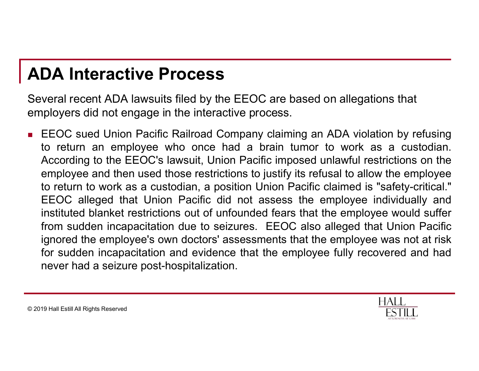#### ADA Interactive Process

Several recent ADA lawsuits filed by the EEOC are based on allegations that employers did not engage in the interactive process.

**ADA Interactive Process**<br>
Several recent ADA lawsuits filed by the EEOC are based on allegations that<br>
employers did not engage in the interactive process.<br> **EEOC** sued Union Pacific Railroad Company claiming an ADA viola **DA Interactive Process**<br>
veral recent ADA lawsuits filed by the EEOC are based on allegations that<br>
ployers did not engage in the interactive process.<br>
EEOC sued Union Pacific Railroad Company claiming an ADA violation by **DA Interactive Process**<br>
veral recent ADA lawsuits filed by the EEOC are based on allegations that<br>
ployers did not engage in the interactive process.<br>
EEOC sued Union Pacific Railroad Company claiming an ADA violation by **DA Interactive Process**<br>veral recent ADA lawsuits filed by the EEOC are based on allegations that<br>ployers did not engage in the interactive process.<br>EEOC sued Union Pacific Railroad Company claiming an ADA violation by re **DA Interactive Process**<br>veral recent ADA lawsuits filed by the EEOC are based on allegations that<br>ployers did not engage in the interactive process.<br>EEOC sued Union Pacific Railroad Company claiming an ADA violation by re **DA Interactive Process**<br>veral recent ADA lawsuits filed by the EEOC are based on allegations that<br>ployers did not engage in the interactive process.<br>EEOC sued Union Pacific Railroad Company claiming an ADA violation by re **DA Interactive Process**<br>veral recent ADA lawsuits filed by the EEOC are based on allegations that<br>ployers did not engage in the interactive process.<br>EEOC sued Union Pacific Railroad Company claiming an ADA violation by re **DA Interactive Process**<br>veral recent ADA lawsuits filed by the EEOC are based on allegations that<br>ployers did not engage in the interactive process.<br>EEOC sued Union Pacific Railroad Company claiming an ADA violation by re veral recent ADA lawsuits filed by the EEOC are based on allegations that<br>ployers did not engage in the interactive process.<br>EEOC sued Union Pacific Railroad Company claiming an ADA violation by refusing<br>to return an emplo veral recent ADA lawsuits filed by the EEOC are based on allegations that<br>ployers did not engage in the interactive process.<br>EEOC sued Union Pacific Railroad Company claiming an ADA violation by refusing<br>to return an emplo ployers did not engage in the interactive process.<br>EEOC sued Union Pacific Railroad Company claiming an AE<br>to return an employee who once had a brain tumor to<br>According to the EEOC's lawsuit, Union Pacific imposed unla<br>emp



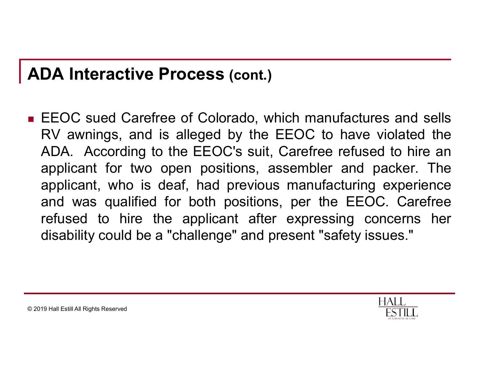#### ADA Interactive Process (cont.)

**ADA Interactive Process (cont.)**<br>
EEOC sued Carefree of Colorado, which manufactures and sells<br>
RV awnings, and is alleged by the EEOC to have violated the<br>
ADA. According to the EEOC's suit, Carefree refused to hire an **DA Interactive Process (cont.)**<br>EEOC sued Carefree of Colorado, which manufactures and sells<br>RV awnings, and is alleged by the EEOC to have violated the<br>ADA. According to the EEOC's suit, Carefree refused to hire an<br>appli **DA Interactive Process (cont.)**<br>EEOC sued Carefree of Colorado, which manufactures and sells<br>RV awnings, and is alleged by the EEOC to have violated the<br>ADA. According to the EEOC's suit, Carefree refused to hire an<br>appli **DA Interactive Process (cont.)**<br>EEOC sued Carefree of Colorado, which manufactures and sells<br>RV awnings, and is alleged by the EEOC to have violated the<br>ADA. According to the EEOC's suit, Carefree refused to hire an<br>appli **DA Interactive Process (cont.)**<br>EEOC sued Carefree of Colorado, which manufactures and sells<br>RV awnings, and is alleged by the EEOC to have violated the<br>ADA. According to the EEOC's suit, Carefree refused to hire an<br>appli **DA Interactive Process (cont.)**<br>EEOC sued Carefree of Colorado, which manufactures and sells<br>RV awnings, and is alleged by the EEOC to have violated the<br>ADA. According to the EEOC's suit, Carefree refused to hire an<br>appli **DA Interactive Process (cont.)**<br>EEOC sued Carefree of Colorado, which manufactures and sells<br>RV awnings, and is alleged by the EEOC to have violated the<br>ADA. According to the EEOC's suit, Carefree refused to hire an<br>appli EEOC sued Carefree of Colorado, which manufactures and sells RV awnings, and is alleged by the EEOC to have violated the ADA. According to the EEOC's suit, Carefree refused to hire an applicant for two open positions, asse

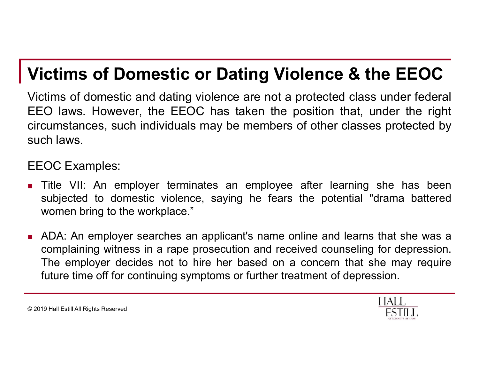#### Victims of Domestic or Dating Violence & the EEOC

Victims of Domestic or Dating Violence & the EEOC<br>Victims of domestic and dating violence are not a protected class under federal<br>EEO laws. However, the EEOC has taken the position that, under the right<br>circumstances, such **Victims of Domestic or Dating Violence & the EEOC**<br>Victims of domestic and dating violence are not a protected class under federal<br>EEO laws. However, the EEOC has taken the position that, under the right<br>circumstances, su **Victims of Domestic or Dating Violence & the EEOC**<br>Victims of domestic and dating violence are not a protected class under federal<br>EEO laws. However, the EEOC has taken the position that, under the right<br>circumstances, su **Victims of Domestic or Datir**<br>Victims of domestic and dating violence are<br>EEO laws. However, the EEOC has take<br>circumstances, such individuals may be me<br>such laws. **Victims of Domestic or Dating**<br>Victims of domestic and dating violence are<br>EEO laws. However, the EEOC has taken<br>circumstances, such individuals may be mer<br>such laws.<br>EEOC Examples:<br>• Title VII: An employer terminates an **Victims of Domestic or Dating Violence & the EEOC**<br>Victims of domestic and dating violence are not a protected class under federal<br>EEO laws. However, the EEOC has taken the position that, under the right<br>circumstances, su **COCT SUBJECT COMERG TO DEVELO CONTE CONTE CONTE CONTE CONTE CONTE CONTE CONTE CONTE CONTE AND AN ABOVE CONTE CONTE CONTE CONTE CONTE CONTE CONTE CONTE CONTE CONTE CONTE CONTE CONTE CONTE CONTE CONTE CONTE CONTE CONTE CONT Crims of Domestic or Dating Violence**<br>tims of domestic and dating violence are not a protecte<br>CO laws. However, the EEOC has taken the position<br>cumstances, such individuals may be members of other<br>ch laws.<br>COC Examples:<br>T ADA: An employer searches an applicant's name online and learns that she was a complaining of domestic and dating violence are not a protected class under federal<br>Collaws. However, the EEOC has taken the position that, under the right<br>cumstances, such individuals may be members of other classes prote

- 
- ICO laws. However, the EEOC has taken the position that, under the right<br>cumstances, such individuals may be members of other classes protected by<br>ch laws.<br>The VII: An employer terminates an employee after learning she has EXERCT CONTINUING THE UNIT ON THE USING THE USING THE USING THE USING THE USING THE USING THE USING THE USING THE USING THE USING THE USING THE USING THE UPPOSE OF CONTINUITY OF A USING THE UPPOSE OF CONTINUITY OF THE UPP